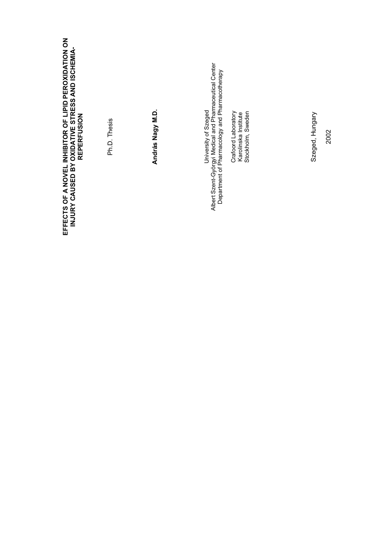| EFFECTS OF A NOVEL INHIBITOR OF LIPID PEROXIDATION ON<br>INJURY CAUSED BY OXIDATIVE STRESS AND ISCHEMIA-<br>REPERFUSION | Ph.D. Thesis | András Nagy M.D. | University of Szeged<br>Albert Szent-Györgyi Medical and Pharmaceutical Center<br>Department of Pharmacology and Pharmacotherapy<br>Crafoord Laboratory | Karolinska Institute<br>Stockholm, Sweden | Szeged, Hungary<br>2002 |
|-------------------------------------------------------------------------------------------------------------------------|--------------|------------------|---------------------------------------------------------------------------------------------------------------------------------------------------------|-------------------------------------------|-------------------------|
|                                                                                                                         |              |                  |                                                                                                                                                         |                                           |                         |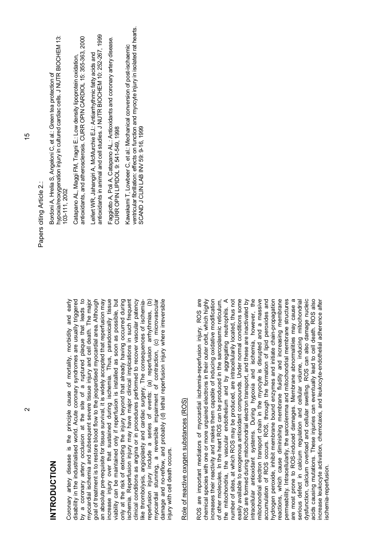| hypoxia/reoxygenation injury in cultured cardiac cells. J NUTR BIOCHEM 13:<br>Catapano AL, Maggi FM, Tragni E.: Low density lipoprotein oxidation,<br>Bordoni A, Hrelia S, Angeloni C, et al.: Green tea protection of<br>103-111, 2002 |
|-----------------------------------------------------------------------------------------------------------------------------------------------------------------------------------------------------------------------------------------|
| antioxidants, and atherosclerosis. CURR OPIN CARDIOL 15: 355-363, 2000                                                                                                                                                                  |
| antioxidants in animal and cell studies. J NUTR BIOCHEM 10: 252-267, 1999<br>Leifert WR, Jahangiri A, McMurchie EJ.: Antiarrhythmic fatty acids and                                                                                     |
| Faggiotto A, Poli A, Catapano AL.: Antioxidants and coronary artery disease.<br>CURR OPIN LIPIDOL 9: 541-549. 1998                                                                                                                      |
| ventricular fibrillation: effects on function and myocyte injury in isolated rat hearts.<br>Kawakami T, Lowbeer C, et al.: Mechanical conversion of post-ischaemic<br>SCAND J CLIN LAB INV 59: 9-16.199                                 |

## Role of reactive oxygen substances (ROS) Role of reactive oxygen substances (ROS)

injury with cell death occurs.

njury with cell death occurs.

ROS are important mediators of myocardial ischemia-reperfusion injury. ROS are chemical species with one or more unpaired electrons in their outer orbit, which highly increases their reactivity and makes them capable of inducing oxidative modification of other molecules. In the heart ROS can be produced in the sarcoplasmic reticulum, the mitochondria, the vascular endothelium and by aggregating neutrophils. A number of sites, at which ROS may be produced, are intracellularily located, thus not easily available to exogenous antioxidant compounds. Under normal conditions some ROS are formed during mitochondrial electron transport, and these are inactivated by intracellular antioxidant systems. During hypoxia and ischemia, however, the mitochondrial electron transport chain in the myocyte is disrupted and a massive accumulation of ROS occurs. ROS, through the formation of lipid peroxides and hydrogen peroxide, inhibit membrane bound enzymes and initiate chain-propagation reactions, which cause diminishing membrane fluidity and increasing membrane permeability. Intracellularily, the sarcolemma and mitochondrial membrane structures are most prone to ROS-induced damages. Membrane abnormalities may cause a serious defect in calcium regulation and cellular volume, inducing mitochondrial dysfunction, calcium overload and cellular swelling. ROS can also damage nucleic acids causing mutations. These injuries can eventually lead to cell death. ROS also increase leukocyte activation, chemotaxis, and leukocyte-endothelial adherence after ROS are important mediators of myocardial ischemia-reperfusion injury. ROS are chemical species with one or more unpaired electrons in their outer orbit, which highly ncreases their reactivity and makes them capable of inducing oxidative modification the mitochondria, the vascular endothelium and by aggregating neutrophils. A number of sites, at which ROS may be produced, are intracellularily located, thus not easily available to exogenous antioxidant compounds. Under normal conditions some ROS are formed during mitochondrial electron transport, and these are inactivated by ntracellular antioxidant systems. During hypoxia and ischemia, however, the mitochondrial electron transport chain in the myocyte is disrupted and a massive accumulation of ROS occurs. ROS, through the formation of lipid peroxides and nydrogen peroxide, inhibit membrane bound enzymes and initiate chain-propagation reactions, which cause diminishing membrane fluidity and increasing membrane oermeability. Intracellularily, the sarcolemma and mitochondrial membrane structures are most prone to ROS-induced damages. Membrane abnormalities may cause a serious defect in calcium regulation and cellular volume, inducing mitochondrial dysfunction, calcium overload and cellular swelling. ROS can also damage nucleic acids causing mutations. These injuries can eventually lead to cell death. ROS also of other molecules. In the heart ROS can be produced in the sarcoplasmic reticulum, ncrease leukocyte activation, chemotaxis, and leukocyte-endothelial adherence after ischemia-reperfusion. schemia-reperfusion

 $\frac{1}{2}$ 

Papers citing Article 2.:

Papers citing Article 2.:

**INTRODUCTION**

NTRODUCTION

Coronary artery disease is the principle cause of mortality, morbidity and early disability in the industrialised world. Acute coronary syndromes are usually triggered by a coronary artery occlusion at the site of a ruptured plaque that leads to myocardial ischemia and subsequent severe tissue injury and cell death. The major goal of treatment is to restore blood flow to the jeopardised myocardial area. Although an absolute pre-requisite for tissue survival, it is widely accepted that reperfusion may increase injury over that sustained during ischemia*.* Thus, paradoxically tissue viability can be maintained only if reperfusion is installed as soon as possible, but only at the risk of extending the injury beyond that already having occurred during ischemia. Reperfusion injury may have major clinical implications in such frequent clinical conditions as angina or in procedures performed to recover vascular patency like thrombolysis, angioplasty and cardiac surgery. The consequences of ischemiareperfusion injury include a series of events: (a) reperfusion arrhythmias, (b) myocardial stunning, a reversible impairment of contraction, (c) microvascular damage and no-reflow, and probably (d) lethal reperfusion injury where irreversible

Coronary artery disease is the principle cause of mortality, morbidity and early

disability in the industrialised world. Acute coronary syndromes are usually triggered

by a coronary artery occlusion at the site of a ruptured plaque that leads to

myocardial ischemia and subsequent severe tissue injury and cell death. The major goal of treatment is to restore blood flow to the jeopardised myocardial area. Although an absolute pre-requisite for tissue survival, it is widely accepted that reperfusion may ncrease injury over that sustained during ischemia. Thus, paradoxically tissue viability can be maintained only if reperfusion is installed as soon as possible, but only at the risk of extending the injury beyond that already having occurred during schemia. Reperfusion injury may have major clinical implications in such frequent clinical conditions as angina or in procedures performed to recover vascular patency like thrombolysis, angioplasty and cardiac surgery. The consequences of ischemiareperfusion injury include a series of events: (a) reperfusion arrhythmias, (b) myocardial stunning, a reversible impairment of contraction, (c) microvascular damage and no-reflow, and probably (d) lethal reperfusion injury where irreversible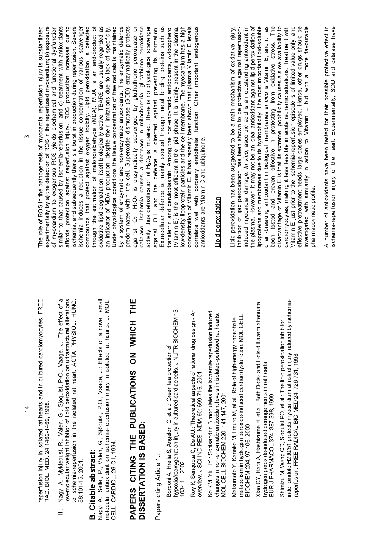reperfusion injury in isolated rat hearts and in cultured cardiomyocytes. FREE<br>RAD. BIOL. MED. 24:1462-1469, 1998. reperfusion injury in isolated rat hearts and in cultured cardiomyocytes. FREE RAD. BIOL. MED. 24:1462-1469, 1998.

Nagy, A., Myklebust, R., Valen, G., Sjöquist, P-O., Vaage, J.: The effect of a III. Nagy, A., Myklebust, R., Valen, G., Sjöquist, P-O., Vaage, J.: The effect of a low-molecular weight inhibitor of lipid peroxidation on ultrastructural alterations to ischemia-reperfusion in the isolated rat heart. ACTA PHYSIOL. HUNG. low-molecular weight inhibitor of lipid peroxidation on ultrastructural alterations to ischemia-reperfusion in the isolated rat heart. ACTA PHYSIOL. HUNG. 88:101-15, 2001. 88:101-15, 2001.  $\equiv$ 

### **B. Citable abstract: B.** Citable abstract:

Nagy, A., Sellei, P., Valen, G., Sjöquist, P.O., Vaage, J.: Effects of a novel, small<br>molecular antioxidant on ischemia-reperfusion injury in isolated rat hearts. J. MOL. Nagy, A., Sellei, P., Valen, G., Sjöquist, P.O., Vaage, J.: Effects of a novel, small molecular antioxidant on ischemia-reperfusion injury in isolated rat hearts. J. MOL. CELL. CARDIOL. 26:CII, 1994. CELL. CARDIOL. 26:CII, 1994.

### **PAPERS CITING THE PUBLICATIONS ON WHICH THE**  PAPERS CITING THE PUBLICATIONS ON WHICH THE **DISSERTATION IS BASED:**  DISSERTATION IS BASED:

Papers citing Article 1.: Papers citing Article 1.:

hypoxia/reoxygenation injury in cultured cardiac cells. J NUTR BIOCHEM 13: Bordoni A, Hrelia S, Angeloni C, et al.: Green tea protection of<br>hypoxia/reoxygenation injury in cultured cardiac cells. J NUTR BIOCHEM 13: Bordoni A, Hrelia S, Angeloni C, et al.: Green tea protection of 103-111, 2002 103-111, 2002

Roy K, Sengupta C, De AU.: Theoretical aspects of rational drug design - An Roy K, Sengupta C, De AU: Theoretical aspects of rational drug design - An overview. J SCI IND RES INDIA 60: 699-716, 2001 overview. J SCI IND RES INDIA 60: 699-716, 2001

Ko KM, Yiu HY.: Schisandrin B modulates the ischemia-reperfusion induced Ko KM, Yiu HY: Schisandrin B modulates the ischemia-reperfusion induced changes in non-enzymatic antioxidant levels in isolated-perfused rat hearts. changes in non-enzymatic antioxidant levels in isolated-perfused rat hearts. MOL CELL BIOCHEM 220: 141-147, 2001 VIOL CELL BIOCHEM 220: 141-147, 2001

metabolism in hydrogen peroxide-induced cardiac dysfunction. MOL CELL metabolism in hydrogen peroxide-induced cardiac dysfunction. MOL CELL<br>BIOCHEM 204: 97-106, 2000 Matsumoto Y, Kaneko M, Iimuro M, et al.: Role of high-energy phosphate Matsumoto Y, Kaneko M, limuro M, et al.: Role of high-energy phosphate BIOCHEM 204: 97-106, 2000 Kiao CY, Hara A, Hashizume H, et al.: Both D-cis- and L-cis-diltiazem attenuate Xiao CY, Hara A, Hashizume H, et al.: Both D-cis- and L-cis-diltiazem attenuate hydrogen peroxide-induced derangements in rat hearts hydrogen peroxide-induced derangements in rat hearts EUR J PHARMACOL 374: 387-398, 1999 EUR J PHARMACOL 374: 387-398, 1999

indenoindole H290/51 protects myocardium at risk of injury induced by ischemiaindenoindole H290/51 protects myocardium at risk of injury induced by ischemia-Shimizu M, Wang QD, Sjoquist PO, et al.: The lipid peroxidation inhibitor Shimizu M, Wang QD, Sjoquist PO, et al.: The lipid peroxidation inhibitor eperfusion. FREE RADICAL BIO MED 24: 726-731, 1998 reperfusion. FREE RADICAL BIO MED 24: 726-731, 1998

during The role of ROS in the pathogenesis of myocardial reperfusion injury is substantiated experimentally by a) the detection of ROS in the reperfused myocardium; b) exposure experimentally by a) the detection of ROS in the reperfused myocardium; b) exposure of myocardium to exogenous ROS yields biochemical and functional dysfunction of myocardium to exogenous ROS yields biochemical and functional dysfunction similar to that caused by ischemia-reperfusion; and c) treatment with antioxidants similar to that caused by ischemia-reperfusion; and c) treatment with antioxidants affords protection against reperfusion injury. ROS production increases during schemia, and subsequently there is a burst in production during reperfusion. Severe ischemia, and subsequently there is a burst in production during reperfusion. Severe ischemia induces a reduction in the tissue concentration of various scavenger compounds that protect against oxygen toxicity. Lipid peroxidation is detected through the estimation of malondialdehyde (MDA). MDA is an end-product of<br>oxidative lipid degradation, itself biologically active. TBARS are usually regarded as through the estimation of malondialdehyde (MDA). MDA is an end-product of oxidative lipid degradation, itself biologically active. TBARS are usually regarded as an indicator of MDA production, despite their limitations due to lack of specificity. Under physiological conditions the tissue concentration of free radicals is maintained by a system of enzymatic and non-enzymatic antioxidants. The enzymatic defence<br>by a system of enzymatic and non-enzymatic antioxidants. The enzymatic defence<br>predominates within the cell. Superoxide dismutase (SOD) enzymat by a system of enzymatic and non-enzymatic antioxidants. The enzymatic defence predominates within the cell. Superoxide dismutase (SOD) enzymatically protects 2 is enzymatically scavenged by gluthathione peroxidase or catalase. Ischemia causes a decrease in mitochondrial glutathione peroxidase catalase. Ischemia causes a decrease in mitochondrial glutathione peroxidase activity, thus detoxification of H<sub>2</sub>O<sub>2</sub> is impaired. There is no physiological scavenger 2 is impaired. There is no physiological scavenger against OH, and the defence is directed against preventing its formation. Extracellular defence is mainly exerted through metal binding proteins such as a-tocopherol (Vitamin E) is the most efficient in the lipid phase. It is mainly present in the plasma, low-density lipoprotein particles and the cell membrane. The myocardium has a high concentration of Vitamin E. It has recently been shown that plasma Vitamin E levels concentration of Vitamin E. It has recently been shown that plasma Vitamin E levels correlate well with coronary endothelial function. Other important endogenous correlate well with coronary endothelial function. Other important endogenous The role of ROS in the pathogenesis of myocardial reperfusion injury is substantiated schemia induces a reduction in the tissue concentration of various scavenger compounds that protect against oxygen toxicity. Lipid peroxidation is detected Under physiological conditions the tissue concentration of free radicals is maintained against OH, and the defence is directed against preventing its formation. Extracellular defence is mainly exerted through metal binding proteins such as transferrin and ceruloplasmin. Among the non-enzymatic antioxidants, a-tocopherol Vitamin E) is the most efficient in the lipid phase. It is mainly present in the plasma, ow-density lipoprotein particles and the cell membrane. The myocardium has a high an indicator of MDA production, despite their limitations due to lack of specificity. affords protection against reperfusion injury. ROS production increases transferrin and ceruloplasmin. Among the non-enzymatic antioxidants, antioxidants are Vitamin C and ubiquinone. antioxidants are Vitamin C and ubiquinone. activity, thus detoxification of H O2≖<br>. against  $\cdot$ O $_2$ 

#### ipid peroxidation Lipid peroxidation

Lipid peroxidation has been suggested to be a main mechanism of oxidative injury. induced myocardial damage. *In vivo*, ascorbic acid is an outstanding antioxidant in the plasma. However, it may not be an ideal antioxidant against lipid peroxidation of<br>lipoproteins and membranes due to its hydrophilicity. The most important lipid-soluble the plasma. However, it may not be an ideal antioxidant against lipid peroxidation of lipoproteins and membranes due to its hydrophilicity. The most important lipid-soluble chain-breaking antioxidant in biological membranes in vivo is Vitamin E, and it has chain-breaking antioxidant in biological membranes *in vivo* is Vitamin E, and it has The been tested and proven effective in protecting from oxidative stress. The disadvantage of Vitamin E is that its extreme lipophilicity causes a slow availability to disadvantage of Vitamin E is that its extreme lipophilicity causes a slow availability to cardiomyocytes, making it less feasible in acute ischemic situations. Treatment with Vitamin E just prior to the ischemia-reperfusion episode is of limited value only, and Vitamin E just prior to the ischemia-reperfusion episode is of limited value only, and effective pretreatment needs large doses employed. Hence, other drugs should be<br>investigated with similarity in action to Vitamin E but with a more favourable effective pretreatment needs large doses employed. Hence, other drugs should be investigated with similarity in action to Vitamin E but with a more favourable nhibition of lipid peroxidation has been shown to be protective against reperfusionnduced myocardial damage. In vivo, ascorbic acid is an outstanding antioxidant in cardiomyocytes, making it less feasible in acute ischemic situations. Treatment with ipid peroxidation has been suggested to be a main mechanism of oxidative injury. Inhibition of lipid peroxidation has been shown to be protective against reperfusionbeen tested and proven effective in protecting from oxidative stress. pharmacokinetic profile. oharmacokinetic profile.

A number of antioxidants have been tested for their possible protective effect in ischemia-reperfusion injury of the heart. Experimentally, SOD and catalase have A number of antioxidants have been tested for their possible protective effect in ischemia-reperfusion injury of the heart. Experimentally, SOD and catalase have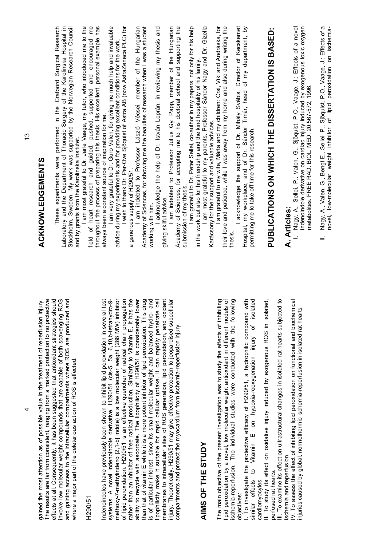| <b>ACKNOWLEDGEMENTS</b>                                                                                                                                                             | These experiments were performed in the Crafoord Surgical Research<br>Laboratory and the Department of Thoracic Surgery of the Karolinska Hospital in<br>Stockholm, Sweden. My work was supported by the Norwegian Research Council<br>and by grants from the Karolinska Insitutet.                                                       | em<br>E<br>throughout the process of preparing this thesis. His excellent, personal example has<br>I am most grateful to Dr. Jarle Vaage, my tutor, who introduced me to the<br>and encouraged<br>field of heart research and guided, pushed, supported | I am very grateful to Dr. Guro Valen, for giving me much help and invaluable<br>always been a constant source of inspiration for me.                                         | I wish to thank Dr. Per-Ove Sjöquist of Astra AB (now AstraZeneca PLC) for<br>advice during my experiments and for providing excellent conditions for the work.<br>a generous supply of H290/51.                                                                       | I am indebted to Professor László Vécsei, member of the Hungarian<br>Academy of Sciences, for showing me the beauties of research when I was a student<br>working with him.                                                                                                 | and<br>acknowledge the help of Dr. István Leprán, in reviewing my thesis<br>giving skilful advice.                                                                             | Academy of Sciences, for accepting me to his doctoral school and supporting the<br>I am indebted to Professor Julius Gy. Papp, member of the Hungarian               | I am grateful to Dr. Peter Sellei, co-author in my papers, not only for his help<br>I am most grateful to my parents, Professor Sándor Nagy and Dr. Gizella<br>in the work but also for his friendship and the kind hospitality of his family<br>submission of my thesis. | their love and patience, while I was away from my home and also during writing the<br>I am grateful to my wife, Márta and my children: Orsi, Viki and Andráska, for<br>Karácsony for their support and valuable advices.<br>thesis.                                | Director of Kecskemet<br>$\overline{a}$<br>Hospital, my workplace, and of Dr. Sándor Timár, head of my department,<br>acknowledge the support of Dr. Mihály Svébis,<br>permitting me to take off time for this research. | PUBLICATIONS ON WHICH THE DISSERTATION IS BASED:                                                                                                                                                                          | I. Nagy, A., Sellei, P., Valen, G., Sjöquist, P.O., Vaage, J.: Effects of a novel<br>indenoindole derivative on cardiac injury induced by exogenous toxic oxygen<br>metabolites. FREE RAD. BIOL. MED. 20:567-572, 1996.<br>A. Articles: |
|-------------------------------------------------------------------------------------------------------------------------------------------------------------------------------------|-------------------------------------------------------------------------------------------------------------------------------------------------------------------------------------------------------------------------------------------------------------------------------------------------------------------------------------------|---------------------------------------------------------------------------------------------------------------------------------------------------------------------------------------------------------------------------------------------------------|------------------------------------------------------------------------------------------------------------------------------------------------------------------------------|------------------------------------------------------------------------------------------------------------------------------------------------------------------------------------------------------------------------------------------------------------------------|-----------------------------------------------------------------------------------------------------------------------------------------------------------------------------------------------------------------------------------------------------------------------------|--------------------------------------------------------------------------------------------------------------------------------------------------------------------------------|----------------------------------------------------------------------------------------------------------------------------------------------------------------------|---------------------------------------------------------------------------------------------------------------------------------------------------------------------------------------------------------------------------------------------------------------------------|--------------------------------------------------------------------------------------------------------------------------------------------------------------------------------------------------------------------------------------------------------------------|--------------------------------------------------------------------------------------------------------------------------------------------------------------------------------------------------------------------------|---------------------------------------------------------------------------------------------------------------------------------------------------------------------------------------------------------------------------|-----------------------------------------------------------------------------------------------------------------------------------------------------------------------------------------------------------------------------------------|
| The results are far from consistent, ranging from a marked protection to no protective<br>injury.<br>gained the most attention as of possible value in the treatment of reperfusion | effects at all. Consequently, it has been suggested that antioxidant strategies should<br><b>ROS</b><br>and gaining access to the intracellular compartments where ROS are produced and<br>involve low molecular weight compounds that are capable of both scavenging<br>where a major part of the deleterious action of ROS is effected. | H290/51                                                                                                                                                                                                                                                 | Indenoindoles have previously been shown to inhibit lipid peroxidation in several test<br>systems. A novel indenoindole derivative, H290/51 (cis-5, 5a, 6,10,b-tetrahydro-9- | methoxy-7-methylindeno [2,1-b] indole) is a low molecular weight (288 MW) inhibitor<br>rather than an inhibitor of free radical production. Similarly to Vitamin E, it has the<br>of lipid peroxidation. H290/51 is an effective quencher of radical chain propagation | ability to recycle with ascorbate. The lipophilicity of H290/51 is considerably lower<br>is of particular interest, since its small molecular weight and balanced hydro- and<br>than that of vitamin E while it is a more potent inhibitor of lipid peroxidation. This drug | membranes to intracellular sites of ROS generation, lipid peroxidation, and oxidant<br>lipophilicity make it suitable for rapid cellular uptake. It can rapidly penetrate cell | injury. Theoretically, H290/51 may give effective protection to jeopardised subcellular<br>compartments and protect the myocardium from ischemia-reperfusion injury. | AIMS OF THE STUDY                                                                                                                                                                                                                                                         | lipid peroxidation by a novel, low molecular weight antioxidant in different models of<br>ischemia-reperfusion. The individual studies were conducted with the following<br>The main objective of the present investigation was to study the effects of inhibiting | I. To investigate the protective efficacy of H290/51, a hydrophilic compound with<br>similar effects to Vitamin E on hypoxia-reoxygenation injury of isolated<br>objectives:                                             | III. To examine its effect on ultrastructural changes in isolated rat hearts subjected to<br>II. To study its effect on oxidative injury induced by exogenous ROS in isolated,<br>perfused rat hearts.<br>cardiomyocytes. | IV. To assess the effect of inhibiting lipid peroxidation on functional and biochemical<br>injuries caused by global, normothermic ischemia-reperfusion in isolated rat hearts<br>ischemia and reperfusion.                             |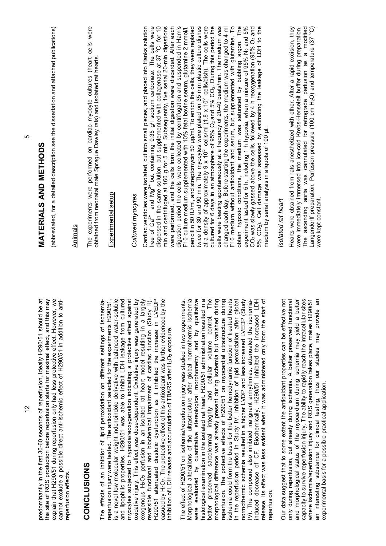predominantly in the first 30-60 seconds of reperfusion. Ideally H290/51 should be at the site of ROS production before reperfusion starts for maximal effect, and this may the site of ROS production before reperfusion starts for maximal effect, and this may explain that H290/51 during reperfusion only had less protective effect. However, we<br>cannot exclude a possible direct anti-ischemic effect of H290/51 in addition to antiexplain that H290/51 during reperfusion only had less protective effect. However, we oredominantly in the first 30-60 seconds of reperfusion. Ideally H290/51 should be at cannot exclude a possible direct anti-ischemic effect of H290/51 in addition to antireperfusion effects. reperfusion effects.

#### **CONCLUSIONS**  CONCLUSIONS

reperfusion injury were tested. The antioxidant selected for the experiments H290/51, is a novel low molecular weight indenoindole derivative with balanced water-soluble and lipophilic properties. H290/51 was able to inhibit LDH leakage from cultured myocytes subjected to hypoxia/reoxygenation indicating a protective effect against oxidative injury. This effect was dose-dependent. Oxidative injury was generated by 2 perfusion in an isolated rat heart model resulting in a largely reversible functional and biochemical impairment of cardiac function (Study II). H290/51 attenuated diastolic dysfunction as it inhibited the increase in LVEDP<br>casued by H<sub>2</sub>O<sub>2</sub>. The protective effect of this antioxidant was further evidenced by the H290/51 attenuated diastolic dysfunction as it inhibited the increase in LVEDP  $22$ . The protective effect of this antioxidant was further evidenced by the The effects of an inhibitor of lipid peroxidation on different settings of ischemiais a novel low molecular weight indenoindole derivative with balanced water-soluble and lipophilic properties. H290/51 was able to inhibit LDH leakage from cultured myocytes subjected to hypoxia/reoxygenation indicating a protective effect against oxidative injury. This effect was dose-dependent. Oxidative injury was generated by exogenous H<sub>2</sub>O<sub>2</sub> perfusion in an isolated rat heart model resulting in a largely The effects of an inhibitor of lipid peroxidation on different settings of ischemiaeperfusion injury were tested. The antioxidant selected for the experiments H290/51, reversible functional and biochemical impairment of cardiac function (Study II). 2<sup>2</sup> exposure. nhibition of LDH release and accumulation of TBARS after H<sub>2</sub>O<sub>2</sub> exposure. inhibition of LDH release and accumulation of TBARS after H exogenous H casued by H

The effect of H290/51 on ischemia/reperfusion injury was studied in two experiments. Morphological alterations of the ultrastructure after global normothermic ischemia were evaluated by quantitative stereological morphometry and by qualitative were evaluated by quantitative stereological morphometry and by qualitative histological examination in the isolated rat heart. H290/51 administration resulted in a histological examination in the isolated rat heart. H290/51 administration resulted in a better preserved sarcolemmal integrity and cellular volume control. The better preserved sarcolemmal integrity and cellular volume control. The morphological difference was already present during ischemia but vanished during reperfusion. The protective effects of H290/51 on myocardial ultrastructure during ischemia could form the basis for the better hemodynamic function of treated hearts in the reperfusion period in Study IV. Inhibition of lipid peroxidation after global normothermic ischemia resulted in a higher LVDP and less increased LVEDP (Study induced decrease of CF. Biochemically, H290/51 inhibited the increased LDH release. Its effect was less evident when it was administered only from the start of Morphological alterations of the ultrastructure after global normothermic ischemia morphological difference was already present during ischemia but vanished during reperfusion. The protective effects of H290/51 on myocardial ultrastructure during schemia could form the basis for the better hemodynamic function of treated hearts in the reperfusion period in Study IV. Inhibition of lipid peroxidation after global normothermic ischemia resulted in a higher LVDP and less increased LVEDP (Study V). The compound also inhibited malignant arrhythmias, attenuated the ischemianduced decrease of CF. Biochemically, H290/51 inhibited the increased LDH elease. Its effect was less evident when it was administered only from the start of The effect of H290/51 on ischemia/reperfusion injury was studied in two experiments. IV). The compound also inhibited malignant arrhythmias, attenuated the ischemiareperfusion. reperfusion.

Our data suggest that to some extent the antioxidant properties can be effective not only during reperfusion, but already during ischemia. A better preserved functional<br>and morphological status of the myocardium during ischemia may yield a better only during reperfusion, but already during ischemia. A better preserved functional and morphological status of the myocardium during ischemia may yield a better capacity to survive reperfusion injury. The ability to rapidly reach the intracellular sites capacity to survive reperfusion injury. The ability to rapidly reach the intracellular sites where ischemia/reperfusion injury and ROS generation takes place, makes H290/51 an interesting substance for clinical testing, thus our studies may provide an where ischemia/reperfusion injury and ROS generation takes place, makes H290/51 an interesting substance for clinical testing, thus our studies may provide an Our data suggest that to some extent the antioxidant properties can be effective not experimental basis for a possible practical application. experimental basis for a possible practical application.

(abbreviated, for a detailed description see the dissertation and attached publications) (abbreviated, for a detailed description see the dissertation and attached publications)

#### Animals

The experiments were performed on cardiac myocyte cultures (heart cells were<br>obtained from neonatal male Sprague Dawley rats) and isolated rat hearts. The experiments were performed on cardiac myocyte cultures (heart cells were obtained from neonatal male Sprague Dawley rats) and isolated rat hearts.

#### Experimental setup Experimental setup

#### Cultured myocytes *Cultured myocytes*

Cardiac ventricles were isolated, cut into small pieces, and placed into Hanks solution<br>free of Ca<sup>2+</sup> and Mg<sup>2+</sup> but containing 0.35 g/l sodium carbonate. The cells were Cardiac ventricles were isolated, cut into small pieces, and placed into Hanks solution free of Ca<sup>2+</sup> and Mg<sup>2+</sup> but containing 0.35 g/l sodium carbonate. The cells were dispersed in the same solution, but supplemented with collagenase at 37 °C for 10 dispersed in the same solution, but supplemented with collagenase at  $37^{\circ}$ C for 10 min and centrifuged at 160 g for 5 min. Subsequently, five serial 20-min digestions min and centrifuged at 160 g for 5 min. Subsequently, five serial 20-min digestions were performed, and the cells from the initial digestion were discarded. After each were performed, and the cells from the initial digestion were discarded. After each digestion period the cells were collected by centrifugation and suspended in Ham's digestion period the cells were collected by centrifugation and suspended in Ham's F10 culture medium supplemented with 10% fetal bovine serum, glutamine 2 mmol/l, oenicillin 50 IU/ml, and streptomycin 50 µg/ml. To enrich the cells, they were replated penicillin 50 IU/ml, and streptomycin 50 µg/ml. To enrich the cells, they were replated twice for 30 and 90 min. The myocytes were plated on 35 mm plastic culture dishes at a density of approximately 9 x 10<sup>5</sup> cells/ml (1.8 x 10<sup>6</sup> cells/dish). The cells were cultured for 6 days in an atmosphere of 95% O<sub>2</sub> twice for 30 and 90 min. The myocytes were plated on 35 mm plastic culture dishes at a density of approximately  $9 \times 10^5$  cells/ml (1.8 x 10 $^6$  cells/dish). The cells were cultured for 6 days in an atmosphere of 95% O2 and 5% CO2. During this period the cells were beating spontaneously at a frequncy of 20-40 beats/min. The medium was cells were beating spontaneously at a frequncy of 20-40 beats/min. The medium was changed each day. Before starting the experiments, the medium was changed to 4 ml F10 medium without antioxidant and serum, but supplemented with glutamine. To F10 medium without antioxidant and serum, but supplemented with glutamine. To obtain hypoxic conditions, the medium was saturated by bubbling argon. The obtain hypoxic conditions, the medium was saturated by bubbling argon. The experiment lasted for 5 h, including 1 h hypoxia, when a mixture of 95% N<sub>2</sub> and 5% CO<sub>2</sub> was slowly gassed above the cells, followed by 4 h reoxygenation (95% O<sub>2</sub> and 5% CO<sub>2</sub>). Cell damage was assessed by estimating the leakage of LDH to the 5% CO2). Cell damage was assessed by estimating the leakage of LDH to the changed each day. Before starting the experiments, the medium was changed to 4 ml experiment lasted for 5 h, including 1 h hypoxia, when a mixture of 95% N<sub>2</sub> and 5% CO $_2$  was slowly gassed above the cells, followed by 4 h reoxygenation (95% O $_2$  and F10 culture medium supplemented with 10% fetal bovine serum, glutamine 2 mmol/l. medium by serial analysis in aliquots of 100 µl. medium by serial analysis in aliquots of 100 ul.

#### *Isolated rat heart*  solated rat heart

Hearts were obtained from rats anesthetized with ether. After a rapid excision, they were immediately immersed into ice-cold Krebs-Henseleit buffer during preparation. The ascending aorta was cannulated for retrograde perfusion as a modified The ascending aorta was cannulated for retrograde perfusion as a modified Langendorff preparation. Perfusion pressure (100 cm H<sub>2</sub>O) and temperature (37  $^{\circ}$ C) Hearts were obtained from rats anesthetized with ether. After a rapid excision, they Langendorff preparation. Perfusion pressure (100 cm H<sub>2</sub>O) and temperature (37 °C) were immediately immersed into ice-cold Krebs-Henseleit buffer during preparation. were kept constant. were kept constant.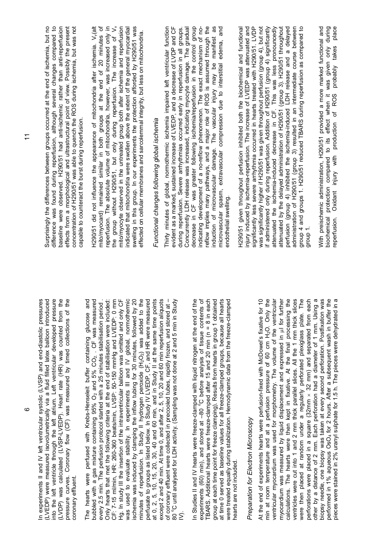| into the left ventricle through the left atrium. Left ventricular developed pressure<br>In experiments II and IV left ventricular systolic (LVSP) and end-diastolic pressures<br>(LVEDP) were measured isovolumetrically via a fluid filled latex balloon introduced<br>(LVDP) was calculated (LVSP-LVEDP). Heart rate (HR) was counted from the<br>pressure curves. Coronary flow (CF) was measured by timed collections of the |
|----------------------------------------------------------------------------------------------------------------------------------------------------------------------------------------------------------------------------------------------------------------------------------------------------------------------------------------------------------------------------------------------------------------------------------|
|                                                                                                                                                                                                                                                                                                                                                                                                                                  |

The hearts were perfused with Krebs-Henseleit buffer containing glucose and bubbled with a gas mixture containing 95%  $O_2$  and 5%  $CO_2$ . . CF was measured every 2.5 min. The perfusion protocol started with a 25 minutes stabilisation period . Only hearts that met the following criteria at the end of stabilisation were included:<br>CF: 7-15 ml/min, HR: 260-360 beats/min, LVSP: 50-150 mmHg and LVEDP: 0 mm Only hearts that met the following criteria at the end of stabilisation were included: CF: 7-15 ml/min, HR: 260-360 beats/min, LVSP: 50-150 mmHg and LVEDP: 0 mm Hg. In study III the insertion of the intraventricular balloon was omitted and only CF was used to evaluate stability. In experiments III and IV global, normothermic Hg. In study III the insertion of the intraventricular balloon was omitted and only CF was used to evaluate stability. In experiments III and IV global, normothermic ischemia was induced by clamping the inflow tubing for 30 minutes, followed by 20 minutes of reperfusion. In Study II hydrogen peroxide  $(H_2O_2)$  was added to the perfusate to groups as listed below. In Study IV LVEDP, CF, and HR were measured at 0, 2, 5, 10, 15, 20, 30, 40 and 60 min, and in Study II  $_2$ O<sub>2</sub>) was added to the perfusate to groups as listed below. In Study IV LVEDP, CF, and HR were measured at 0, 2, 5, 10, 15, 20, 30, 40 and 60 min, and in Study II at the same time points except 2 and 40 min. At time 0, and after 2, 5, 10, 20 and 60 min reperfusion aliquots except 2 and 40 min. At time 0, and after 2, 5, 10, 20 and 60 min reperfusion aliquots of coronary effluent were collected in precooled tubes, rapidly frozen, and stored at -80 °C until analysed for LDH activity. (Sampling was not done at 2 and 5 min in Study<br>IV). 80  $^{\circ}$ C until analysed for LDH activity. (Sampling was not done at 2 and 5 min in Study The hearts were perfused with Krebs-Henseleit buffer containing glucose and bubbled with a gas mixture containing 95%  $O_2$  and 5%  $CO_2$ . CF was measured every 2.5 min. The perfusion protocol started with a 25 minutes stabilisation period. schemia was induced by clamping the inflow tubing for 30 minutes, followed by 20 of coronary effluent were collected in precooled tubes, rapidly frozen, and stored at – minutes of reperfusion. In Study II hydrogen peroxide (H

In Studies II and IV hearts were freeze-clamped with liquid nitrogen at the end of the experiments (60) min), and stored at  $-80$  °C before analysis of tissue contents of TBARS. Additional hearts were freeze-clamped after 15 and 20 min (n = 8 in each TBARS. Additional hearts were freeze-clamped after 15 and 20 min (n = 8 in each group at each time point for freeze clamping). Results from hearts in group 1 obtained group at each time point for freeze clamping). Results from hearts in group 1 obtained at time 0 served as baseline values for all freeze-clamped groups, because all hearts<br>were treated equally during stabilization. Hemodynamic data from the freeze-clamped at time 0 served as baseline values for all freeze-clamped groups, because all hearts were treated equally during stabilization. Hemodynamic data from the freeze-clamped In Studies II and IV hearts were freeze-clamped with liquid nitrogen at the end of the experiments (60) min), and stored at  $-80^{\circ}$ C before analysis of tissue contents of hearts are not included. hearts are not included.

### *Preparation for Electron Microscopy*  Preparation for Electron Microscopy

At the end of experiments hearts were perfusion-fixed with McDowel's fixative for 10 min at room temperature and at a perfusion pressure of 60 cm  $H_2O$ . Only the ventricular myocardium was used for morphometry. The volume of the ventricular ventricular myocardium was used for morphometry. The volume of the ventricular myocardium was measured by liquid displacement and expressed in ul for further calculations. The hearts were then kept in fixative. At the final processing the ventricles were cut into 1 and 2 mm thick parallel slices. All the 1 mm thick slices calculations. The hearts were then kept in fixative. At the final processing the ventricles were cut into 1 and 2 mm thick parallel slices. All the 1 mm thick slices were then placed at random under a regularly perforated plexiglass plate. The were then placed at random under a regularly perforated plexiglass plate. The perforations were placed in a square  $(32 \text{ mm} \times 32 \text{ mm})$  and separated from each other by a distance of 2 mm. Each perforation had a diameter of 1 mm. Using a other by a distance of 2 mm. Each perforation had a diameter of 1 mm. Using a biopsy needle, one biopsy was taken at every second perforation. Postfixation was biopsy needle, one biopsy was taken at every second perforation. Postfixation was performed in 1% aqueous OsO<sub>4</sub> for 2 hours. After a subsequent wash in buffer the<br>pieces were stained in 2% uranyl sulphate for 1.5 h. The pieces were dehydrated in a performed in 1% aqueous OsO4 for 2 hours. After a subsequent wash in buffer the pieces were stained in 2% uranyl sulphate for 1.5 h. The pieces were dehydrated in a At the end of experiments hearts were perfusion-fixed with McDowel's fixative for 10 min at room temperature and at a perfusion pressure of 60 cm H<sub>2</sub>O. Only the myocardium was measured by liquid displacement and expressed in ul for further perforations were placed in a square (32mm  $\times$  32 mm) and separated from each

Surprisingly the differences between groups occurred at the end of ischemia, but no difference was found during reperfusion, although several changes compared to difference was found during reperfusion, although several changes compared to paseline were observed. H290/51 had anti-ischemic rather than anti-reperfusion baseline were observed. H290/51 had anti-ischemic rather than anti-reperfusion effects from a morphological and ultrastructural point of view. Possibly the present concentration of H290/51 was able to quench the ROS during ischemia, but was not Surprisingly the differences between groups occurred at the end of ischemia, but no effects from a morphological and ultrastructural point of view. Possibly the present concentration of H290/51 was able to quench the ROS during ischemia, but was not capable to counteract the burst during reperfusion. capable to counteract the burst during reperfusion.

reperfusion. The absolute volume of mitochondria, however, was increased only in the group without H290/51, but only during reperfusion. The increase of  $V_{v}$ H290/51 did not influence the appearance of mitochondria after ischemia. V<sub>v</sub>(alt mito/myocard) remained similar in both groups at the end of 20 minutes of reperfusion. The absolute volume of mitochondria, however, was increased only in mito/myocyte observed in the untreated group both after ischemia and reperfusion<br>indicated that mitochondria were swollen above the extent of the general myocardial mito/myocyte observed in the untreated group both after ischemia and reperfusion indicated that mitochondria were swollen above the extent of the general myocardial swelling in this group. In our experiments the protection afforded by H290/51 was swelling in this group. In our experiments the protection afforded by H290/51 was 1290/51 did not influence the appearance of mitochondria after ischemia. V<sub>v</sub>(alt mito/myocard) remained similar in both groups at the end of 20 minutes of the group without H290/51, but only during reperfusion. The increase of Vv effected on cellular membranes and sarcolemmal integrity, but less on mitochondria. effected on cellular membranes and sarcolemmal integrity, but less on mitochondria.

## Functional changes following global ischemia *Functional changes following global ischemia*

Thirty minutes of global, normothermic ischemia impaired left ventricular function evident as a marked, sustained increase of LVEDP, and a decrease of LVDP and CF during reperfusion. Severe arrhythmias occurred early in reperfusion in all groups. Concurrently LDH release was increased, indicating myocyte damage. The gradual decrease in CF was greater following ischemia/reperfusion in the control group decrease in CF was greater following ischemia/reperfusion in the control group indicating development of a no-reflow phenomenon. The exact mechanism of noreflow implies many pathways, and a major role of ROS is assumed through the induction of microvascular damage. The vascular injury may be manifest as reflow implies many pathways, and a major role of ROS is assumed through the induction of microvascular damage. The vascular injury may be manifest as microvascular spasm, extravascular compression due to interstitial edema, and Thirty minutes of global, normothermic ischemia impaired left ventricular function svident as a marked, sustained increase of LVEDP, and a decrease of LVDP and CF Concurrently LDH release was increased, indicating myocyte damage. The gradual microvascular spasm, extravascular compression due to interstitial edema, and during reperfusion. Severe arrhythmias occurred early in reperfusion in all groups. indicating development of a no-reflow phenomenon. The exact mechanism of noendothelial swelling. endothelial swelling.

H290/51 given throughout perfusion inhibited both the biochemical and functional injury induced by ischemia-reperfusion. The increase of LVEDP was attenuated and significantly less severe arrhythmia occurred in hearts treated with H290/51. LVDP was significantly higher if H290/51 was given throughout perfusion (group 4), but not If administered only during reperfusion. Addition of H290/51 (group 4) significantly if administered only during reperfusion. Addition of H290/51 (group 4) significantly attenuated the ischemia-induced decrease in CF. This was less pronouncedly attenuated by the delayed administration of H290/51 (group 3). H290/51 throughout perfusion (group 4) inhibited the ischemia-induced LDH release and a delayed<br>administration of H290/51 (group 3) resulted in an intermediate course between<br>group 4 and groups 1. H290/51 reduced TBARS during reperfusion as perfusion (group 4) inhibited the ischemia-induced LDH release and a delayed administration of H290/51 (group 3) resulted in an intermediate course between group 4 and groups 1. H290/51 reduced TBARS during reperfusion as compared to 1290/51 given throughout perfusion inhibited both the biochemical and functional njury induced by ischemia-reperfusion. The increase of LVEDP was attenuated and attenuated the ischemia-induced decrease in CF. This was less pronouncedly attenuated by the delayed administration of H290/51 (group 3). H290/51 throughout group 1.

With preischemic administration, H290/51 provided a more marked functional and With preischemic administration, H290/51 provided a more marked functional and biochemical protection compared to its effect when it was given only during reperfusion. Oxidant injury with production of ROS probably takes place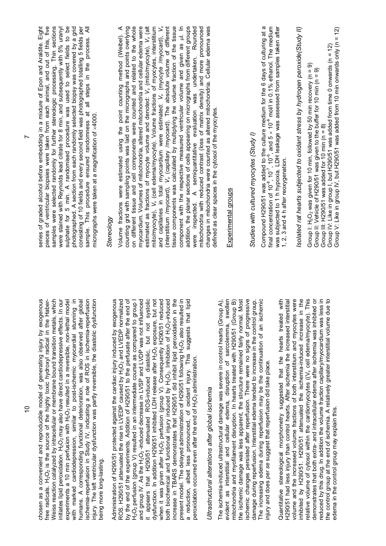chosen as a convenient and reproducible model of generating injury by exogenous<br>free radicals. H<sub>2</sub>O<sub>2</sub> is the source of the highly toxic hydroxyl radical in the Haberchosen as a convenient and reproducible model of generating injury by exogenous Weiss reaction catalyzed by intracellular or membrane bound transition metals, which 2 may also have direct cardiodepressive effects. In our 2 resulted in a reversible, non-lethal model with marked cardiodepression, similar to post-ischemic myocardial stunning in humans. A corresponding functional deterioration, was also observed after global schemia-reperfusion in Study IV, indicating a role of ROS in ischemia-reperfusion ischemia-reperfusion in Study IV, indicating a role of ROS in ischemia-reperfusion injury. The left ventricular dysfunction was partly reversible, the diastolic dysfunction Weiss reaction catalyzed by intracellular or membrane bound transition metals, which nitiates lipid peroxidation. H<sub>2</sub>O<sub>2</sub> may also have direct cardiodepressive effects. In our experiments a 10 min perfusion with H<sub>2</sub>O<sub>2</sub> resulted in a reversible, non-lethal model with marked cardiodepression, similar to post-ischemic myocardial stunning in humans. A corresponding functional deterioration, was also observed after global njury. The left ventricular dysfunction was partly reversible, the diastolic dysfunction  $2O<sub>2</sub>$  is the source of the highly toxic hydroxyl radical in the Haberexperiments a 10 min perfusion with H initiates lipid peroxidation. H being more long-lasting. being more long-lasting. free radicals. H

Administration of H290/51 protected against the cardiac injury induced by exogenous ROS. H290/51 attenuated the rise in LVEDP caused by H<sub>2</sub>O<sub>2</sub> and LVEDP normalized<br>by the end of the experiments. Addition of H290/51 to the perfusate after the end of  $202$  and LVEDP normalized by the end of the experiments. Addition of H290/51 to the perfusate after the end of 2 perfusion (group V) resulted in an intermediate course as compared to group I  $20$ -induced decrease in LVSP and LVDP was not influenced it appears that H290/51 attenuated ROS-induced diastolic, but not systolic it appears that H290/51 attenuated ROS-induced diastolic, but not systolic 2 exposure, but not 2 perfusion (group V). Consequently H290/51 reduced 2O<sub>2</sub>-induced increase in TBARS demonstrates that H290/51 did inhibit lipid peroxidation in the increase in TBARS demonstrates that H290/51 did inhibit lipid peroxidation in the 2O<sub>2</sub> also resulted in a reduction, albeit less pronounced, of oxidant injury. This suggests that lipid Administration of H290/51 protected against the cardiac injury induced by exogenous dysfunction. In addition H290/51 inhibited LDH release after H<sub>2</sub>O<sub>2</sub> exposure, but not when it was given after H<sub>2</sub>O<sub>2</sub> perfusion (group V). Consequently H290/51 reduced present model. The delayed administration of H290/51 following H<sub>2</sub>O<sub>2</sub> also resulted in<br>a reduction, albeit less pronounced, of oxidant injury. This suggests that lipid O2 $_2$ O $_2$ . Inhibition of H present model. The delayed administration of H290/51 following H beroxidation occurred even after the end of  $H_2O_2$  administration.  $20$ <sub>2</sub> administration. dysfunction. In addition H290/51 inhibited LDH release after H ROS. H290/51 attenuated the rise in LVEDP caused by H O2both biochemical and functional injury induced by H peroxidation occurred even after the end of H when it was given after H O2and group IV. As the H H O2

# *Ultrastructural alterations after global ischemia*  Ultrastructural alterations after global ischemia

The ischemia-induced ultrastructural damage was severe in control hearts (Group A), evident as interstitial and cellular edema, disruption of sarcolemma, swollen mitochondria and myofilament disruption. In hearts treated with H290/51 (Group B) the ischemic damage was less apparent, the structure remained fairly normal. Most<br>ischemic changes persisted after reperfusion. There were no signs of progressive the ischemic damage was less apparent, the structure remained fairly normal. Most ischemic changes persisted after reperfusion. There were no signs of progressive damage during reperfusion. Interstitial edema tended to increase in the control group.<br>The increasing edema during reperfusion may be the continuation of an ischemic damage during reperfusion. Interstitial edema tended to increase in the control group. The increasing edema during reperfusion may be the continuation of an ischemic evident as interstitial and cellular edema, disruption of sarcolemma, swollen mitochondria and myofilament disruption. In hearts treated with H290/51 (Group B) The ischemia-induced ultrastructural damage was severe in control hearts (Group A), njury and does per se suggest that reperfusion did take place. injury and does *per se* suggest that reperfusion did take place.

Quantitative stereological morphometry suggested that the hearts treated with H290/51 had less injury than control hearts. After ischemia the increased interstitial volume and the increased volume fractions of both interstitium and myocytes were volume and the increased volume fractions of both interstitium and myocytes were nhibited by H290/51. H290/51 attenuated the ischemia-induced increase in the inhibited by H290/51. H290/51 attenuated the ischemia-induced increase in the relative volume of cytosol within the cardiomyocytes ((V<sub>v</sub> cell edema/myocyte). This relative volume of cytosol within the cardiomyocytes ((Vv cell edema/myocyte). This demonstrates that both extra- and intracellular edema after ischemia was inhibited or demonstrates that both extra- and intracellular edema after ischemia was inhibited or reduced by this drug. In addition the volume fraction capillary/myocardium was less in reduced by this drug. In addition the volume fraction capillary/myocardium was less in the control group at the end of ischemia. A relatively greater interstitial volume due to the control group at the end of ischemia. A relatively greater interstitial volume due to Quantitative stereological morphometry suggested that the hearts treated with H290/51 had less injury than control hearts. After ischemia the increased interstitial edema in the control group may explain this. edema in the control group may explain this.

series of graded alcohol before embedding in a mixture of Epon and Araldite. Eight bieces of ventricular biopsies were taken from each animal, and out of this, five pieces of ventricular biopsies were taken from each animal, and out of this, five samples were selected randomly for further stereologic processing. Thin sections samples were selected randomly for further stereologic processing. Thin sections were stained with Reynolds lead citrate for 8 min, and subsequently with 5% uranyl sulphate for 5 min. A randomised procedure was used to select fields to be<br>photographed. A section from each randomly selected biopsy was covered by a grid sulphate for 5 min. A randomised procedure was used to select fields to be photographed. A section from each randomly selected biopsy was covered by a grid consisting of 10 fields and every second field was photographed totalling 5 fields per sample. This procedure ensured randomness at all steps in the process. All series of graded alcohol before embedding in a mixture of Epon and Araldite. Eight were stained with Reynolds lead citrate for 8 min, and subsequently with 5% uranyl consisting of 10 fields and every second field was photographed totalling 5 fields per sample. This procedure ensured randomness at all steps in the process. All micrographs were taken at a magnification of x4000. micrographs were taken at a magnification of  $\times4000$ .

#### *Stereology*  Stereology

mito/myocyte), V<sub>v</sub> (cell edema/myocyte). Volume fractions of myocytes, interstitium<br>and capillaries in total myocardium were estimated: V<sub>v</sub> (myocyte /myocard), V<sub>v</sub><br>(interstitium /myocard), V<sub>v</sub> (capillary /myocard). The Volume fractions were estimated using the point counting method (Weibel). A counting grid with sampling points was laid on the micrographs and points overlying on different tissue and cell components were counted and relat Volume fractions were estimated using the point counting method (Weibel). A counting grid with sampling points was laid on the micrographs and points overlying on different tissue and cell components were counted and related to the whole myocardium. Volumes of mitochondria, altered mitochondria and cellular edema were myocardium. Volumes of mitochondria, altered mitochondria and cellular edema were *Vv* (cell edema/myocyte). Volume fractions of myocytes, interstitium *Vv* (capillary /myocard). The absolute volume of different issue components was calculated by multiplying the volume fraction of the tissue tissue components was calculated by multiplying the volume fraction of the tissue component with the respective measured ventricular volume and given as ul. In component with the respective measured ventricular volume and given as  $\mu$ l. In addition, the planar sections of cells appearing on micrographs from different groups were inspected. A semiquantitative evaluation was undertaken. Rounded were inspected. A semiquantitative evaluation was undertaken. Rounded mitochondria with reduced contrast (loss of matrix density) and more pronounced mitochondria with reduced contrast (loss of matrix density) and more pronounced changes in mitochondria were counted as altered mitochondria. Cellular edema was changes in mitochondria were counted as altered mitochondria. Cellular edema was estimated as fractions of myocyte volume and denoted: V<sub>v</sub> (mito/myocyte), V<sub>v</sub> (alt addition, the planar sections of cells appearing on micrographs from different groups *Vv* (myocyte /myocard), *Vv* (mito/myocyte), estimated as fractions of myocyte volume and denoted: and capillaries in total myocardium were estimated: defined as clear spaces in the cytosol of the myocytes. defined as clear spaces in the cytosol of the myocytes. (interstitium /myocard), mito/myocyte),

#### Experimental groups Experimental groups

## *Studies with cultured myocytes (Study I)*  Studies with cultured myocytes (Study I)

final concentration of 10<sup>°4</sup>, 10<sup>-7</sup>, 10<sup>-6</sup>, and 5  $\times$  10<sup>-6</sup> mol/l in 0.1% ethanol. The medium<br>was subjected to 1 h hypoxia. LDH leakage was assessed from samples taken after Compound H290/51 was added to the culture medium for the 6 days of culturing at a Compound H290/51 was added to the culture medium for the 6 days of culturing at a final concentration of 10<sup>-8</sup>, 10<sup>-7</sup>, 10<sup>-6</sup>, and 5 x 10<sup>-6</sup> mol/l in 0.1% ethanol. The medium was subjected to 1 h hypoxia. LDH leakage was assessed from samples taken after 1, 2, 3 and 4 h after reoxygenation. 1, 2, 3 and 4 h after reoxygenation.

*Isolated rat hearts subjected to oxidant stress by hydrogen peroxide(Study II)*  solated rat hearts subjected to oxidant stress by hydrogen peroxide (Study II)

Group V: Like in group IV, but H290/51 was added from 10 min onwards only (n = 12) Group V: Like in group IV, but H290/51 was added from 10 min onwards only (n = 12) Group IV: Like in group I, but H290/51 was added from time 0 onwards (n = 12) Group IV: Like in group I, but H290/51 was added from time 0 onwards (n = 12)  $20_2$  was given for 10 min, followed by 50 min recovery (n = 9) Group II: Vehicle of H290/51 was given to the buffer for 10 min (n = 9) Group III: H290/51 was added for 10 min (n = 8) O2Group I: H